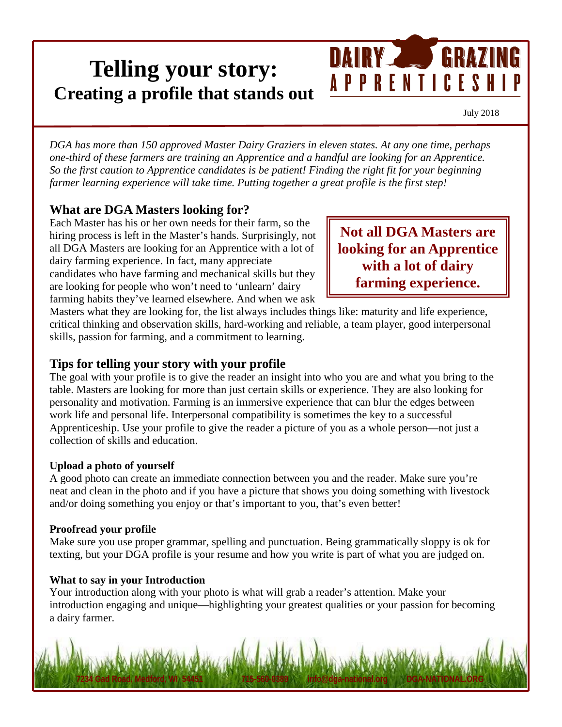# **Telling your story: Creating a profile that stands out**

July 2018

*DGA has more than 150 approved Master Dairy Graziers in eleven states. At any one time, perhaps one-third of these farmers are training an Apprentice and a handful are looking for an Apprentice. So the first caution to Apprentice candidates is be patient! Finding the right fit for your beginning farmer learning experience will take time. Putting together a great profile is the first step!*

### **What are DGA Masters looking for?**

Each Master has his or her own needs for their farm, so the hiring process is left in the Master's hands. Surprisingly, not all DGA Masters are looking for an Apprentice with a lot of dairy farming experience. In fact, many appreciate candidates who have farming and mechanical skills but they are looking for people who won't need to 'unlearn' dairy farming habits they've learned elsewhere. And when we ask

**Not all DGA Masters are looking for an Apprentice with a lot of dairy farming experience.**

DAIRY GRAZING

**APPRENTICESHIP** 

Masters what they are looking for, the list always includes things like: maturity and life experience, critical thinking and observation skills, hard-working and reliable, a team player, good interpersonal skills, passion for farming, and a commitment to learning.

#### **Tips for telling your story with your profile**

The goal with your profile is to give the reader an insight into who you are and what you bring to the table. Masters are looking for more than just certain skills or experience. They are also looking for personality and motivation. Farming is an immersive experience that can blur the edges between work life and personal life. Interpersonal compatibility is sometimes the key to a successful Apprenticeship. Use your profile to give the reader a picture of you as a whole person—not just a collection of skills and education.

#### **Upload a photo of yourself**

A good photo can create an immediate connection between you and the reader. Make sure you're neat and clean in the photo and if you have a picture that shows you doing something with livestock and/or doing something you enjoy or that's important to you, that's even better!

#### **Proofread your profile**

Make sure you use proper grammar, spelling and punctuation. Being grammatically sloppy is ok for texting, but your DGA profile is your resume and how you write is part of what you are judged on.

#### **What to say in your Introduction**

Your introduction along with your photo is what will grab a reader's attention. Make your introduction engaging and unique—highlighting your greatest qualities or your passion for becoming a dairy farmer.